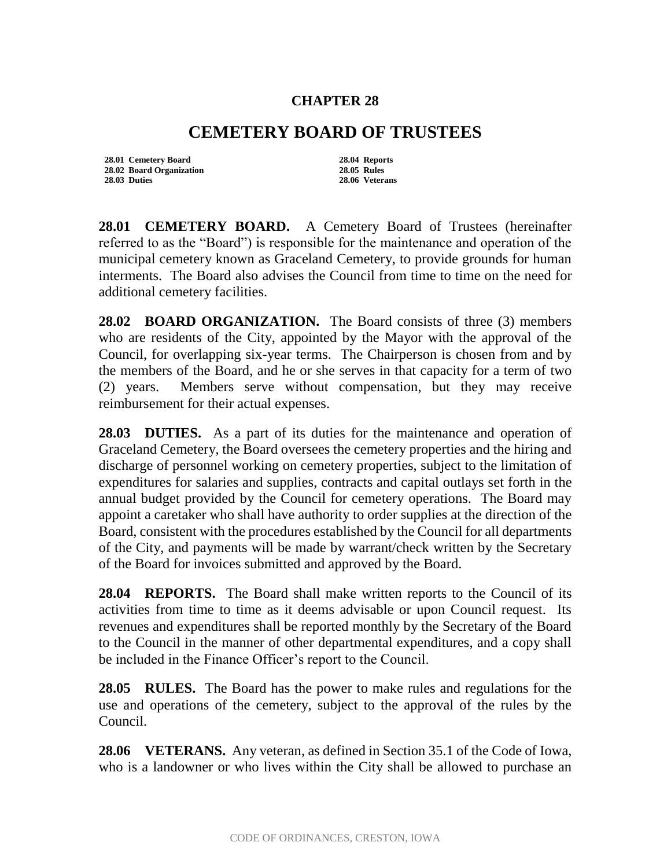## **CHAPTER 28**

## **CEMETERY BOARD OF TRUSTEES**

**28.01 Cemetery Board 28.04 Reports 28.02 Board Organization 28.05 Rules**

**28.03 Duties 28.06 Veterans**

**28.01 CEMETERY BOARD.** A Cemetery Board of Trustees (hereinafter referred to as the "Board") is responsible for the maintenance and operation of the municipal cemetery known as Graceland Cemetery, to provide grounds for human interments. The Board also advises the Council from time to time on the need for additional cemetery facilities.

**28.02 BOARD ORGANIZATION.** The Board consists of three (3) members who are residents of the City, appointed by the Mayor with the approval of the Council, for overlapping six-year terms. The Chairperson is chosen from and by the members of the Board, and he or she serves in that capacity for a term of two (2) years. Members serve without compensation, but they may receive reimbursement for their actual expenses.

**28.03 DUTIES.** As a part of its duties for the maintenance and operation of Graceland Cemetery, the Board oversees the cemetery properties and the hiring and discharge of personnel working on cemetery properties, subject to the limitation of expenditures for salaries and supplies, contracts and capital outlays set forth in the annual budget provided by the Council for cemetery operations. The Board may appoint a caretaker who shall have authority to order supplies at the direction of the Board, consistent with the procedures established by the Council for all departments of the City, and payments will be made by warrant/check written by the Secretary of the Board for invoices submitted and approved by the Board.

**28.04 REPORTS.** The Board shall make written reports to the Council of its activities from time to time as it deems advisable or upon Council request. Its revenues and expenditures shall be reported monthly by the Secretary of the Board to the Council in the manner of other departmental expenditures, and a copy shall be included in the Finance Officer's report to the Council.

**28.05 RULES.** The Board has the power to make rules and regulations for the use and operations of the cemetery, subject to the approval of the rules by the Council.

**28.06 VETERANS.** Any veteran, as defined in Section 35.1 of the Code of Iowa, who is a landowner or who lives within the City shall be allowed to purchase an